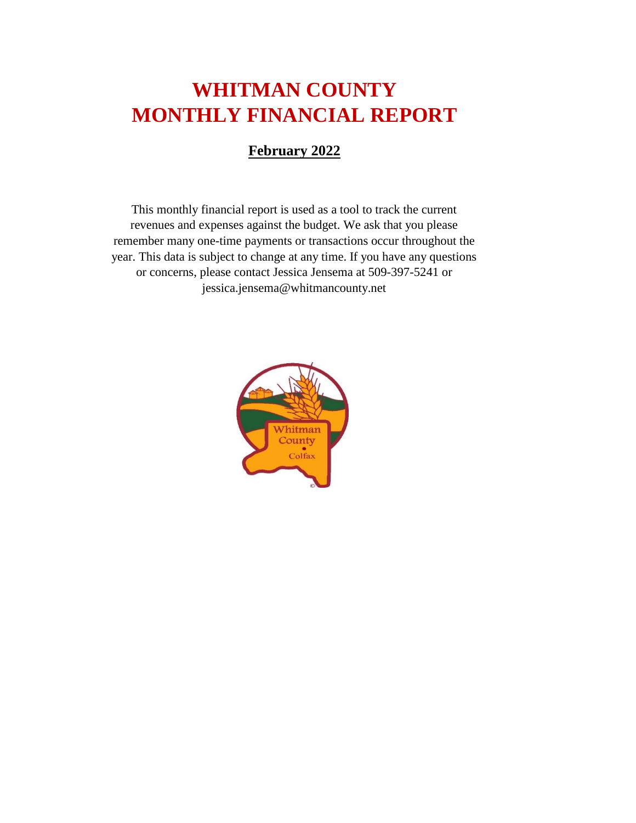# **WHITMAN COUNTY MONTHLY FINANCIAL REPORT**

#### **February 2022**

This monthly financial report is used as a tool to track the current revenues and expenses against the budget. We ask that you please remember many one-time payments or transactions occur throughout the year. This data is subject to change at any time. If you have any questions or concerns, please contact Jessica Jensema at 509-397-5241 or jessica.jensema@whitmancounty.net

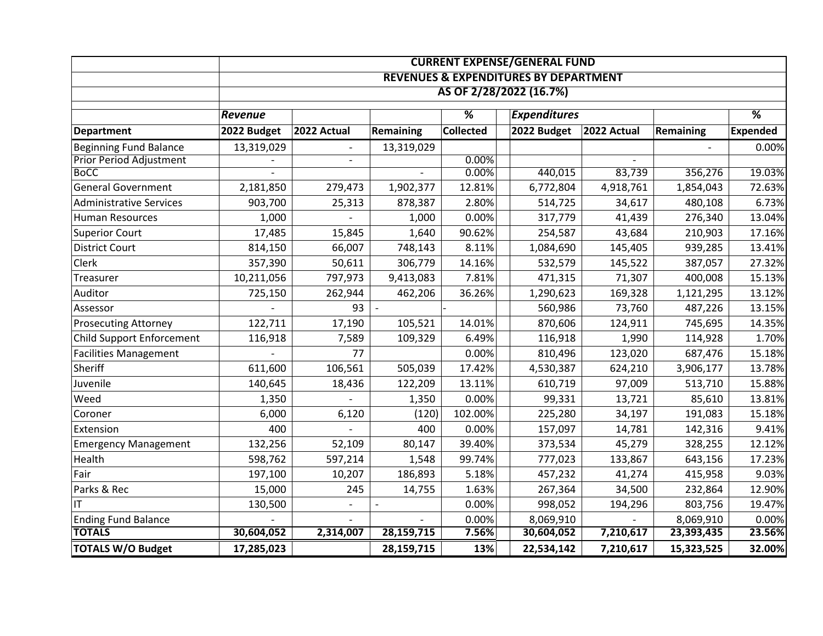|                                |                                                  |                |                  |                  | <b>CURRENT EXPENSE/GENERAL FUND</b> |                     |                  |                 |  |
|--------------------------------|--------------------------------------------------|----------------|------------------|------------------|-------------------------------------|---------------------|------------------|-----------------|--|
|                                | <b>REVENUES &amp; EXPENDITURES BY DEPARTMENT</b> |                |                  |                  |                                     |                     |                  |                 |  |
|                                | AS OF 2/28/2022 (16.7%)                          |                |                  |                  |                                     |                     |                  |                 |  |
|                                | Revenue                                          |                |                  | $\overline{\%}$  |                                     | <b>Expenditures</b> |                  | $\overline{\%}$ |  |
| <b>Department</b>              | 2022 Budget                                      | 2022 Actual    | <b>Remaining</b> | <b>Collected</b> | 2022 Budget                         | 2022 Actual         | <b>Remaining</b> | <b>Expended</b> |  |
| <b>Beginning Fund Balance</b>  | 13,319,029                                       |                | 13,319,029       |                  |                                     |                     |                  | 0.00%           |  |
| <b>Prior Period Adjustment</b> |                                                  | $\blacksquare$ |                  | 0.00%            |                                     |                     |                  |                 |  |
| <b>BoCC</b>                    |                                                  |                |                  | 0.00%            | 440,015                             | 83,739              | 356,276          | 19.03%          |  |
| <b>General Government</b>      | 2,181,850                                        | 279,473        | 1,902,377        | 12.81%           | 6,772,804                           | 4,918,761           | 1,854,043        | 72.63%          |  |
| <b>Administrative Services</b> | 903,700                                          | 25,313         | 878,387          | 2.80%            | 514,725                             | 34,617              | 480,108          | 6.73%           |  |
| <b>Human Resources</b>         | 1,000                                            |                | 1,000            | 0.00%            | 317,779                             | 41,439              | 276,340          | 13.04%          |  |
| <b>Superior Court</b>          | 17,485                                           | 15,845         | 1,640            | 90.62%           | 254,587                             | 43,684              | 210,903          | 17.16%          |  |
| <b>District Court</b>          | 814,150                                          | 66,007         | 748,143          | 8.11%            | 1,084,690                           | 145,405             | 939,285          | 13.41%          |  |
| <b>Clerk</b>                   | 357,390                                          | 50,611         | 306,779          | 14.16%           | 532,579                             | 145,522             | 387,057          | 27.32%          |  |
| Treasurer                      | 10,211,056                                       | 797,973        | 9,413,083        | 7.81%            | 471,315                             | 71,307              | 400,008          | 15.13%          |  |
| Auditor                        | 725,150                                          | 262,944        | 462,206          | 36.26%           | 1,290,623                           | 169,328             | 1,121,295        | 13.12%          |  |
| Assessor                       |                                                  | 93             |                  |                  | 560,986                             | 73,760              | 487,226          | 13.15%          |  |
| <b>Prosecuting Attorney</b>    | 122,711                                          | 17,190         | 105,521          | 14.01%           | 870,606                             | 124,911             | 745,695          | 14.35%          |  |
| Child Support Enforcement      | 116,918                                          | 7,589          | 109,329          | 6.49%            | 116,918                             | 1,990               | 114,928          | 1.70%           |  |
| <b>Facilities Management</b>   |                                                  | 77             |                  | 0.00%            | 810,496                             | 123,020             | 687,476          | 15.18%          |  |
| Sheriff                        | 611,600                                          | 106,561        | 505,039          | 17.42%           | 4,530,387                           | 624,210             | 3,906,177        | 13.78%          |  |
| Juvenile                       | 140,645                                          | 18,436         | 122,209          | 13.11%           | 610,719                             | 97,009              | 513,710          | 15.88%          |  |
| Weed                           | 1,350                                            |                | 1,350            | 0.00%            | 99,331                              | 13,721              | 85,610           | 13.81%          |  |
| Coroner                        | 6,000                                            | 6,120          | (120)            | 102.00%          | 225,280                             | 34,197              | 191,083          | 15.18%          |  |
| Extension                      | 400                                              |                | 400              | 0.00%            | 157,097                             | 14,781              | 142,316          | 9.41%           |  |
| <b>Emergency Management</b>    | 132,256                                          | 52,109         | 80,147           | 39.40%           | 373,534                             | 45,279              | 328,255          | 12.12%          |  |
| Health                         | 598,762                                          | 597,214        | 1,548            | 99.74%           | 777,023                             | 133,867             | 643,156          | 17.23%          |  |
| Fair                           | 197,100                                          | 10,207         | 186,893          | 5.18%            | 457,232                             | 41,274              | 415,958          | 9.03%           |  |
| Parks & Rec                    | 15,000                                           | 245            | 14,755           | 1.63%            | 267,364                             | 34,500              | 232,864          | 12.90%          |  |
| IT                             | 130,500                                          |                |                  | 0.00%            | 998,052                             | 194,296             | 803,756          | 19.47%          |  |
| <b>Ending Fund Balance</b>     |                                                  |                |                  | 0.00%            | 8,069,910                           |                     | 8,069,910        | 0.00%           |  |
| <b>TOTALS</b>                  | 30,604,052                                       | 2,314,007      | 28,159,715       | 7.56%            | 30,604,052                          | 7,210,617           | 23,393,435       | 23.56%          |  |
| <b>TOTALS W/O Budget</b>       | 17,285,023                                       |                | 28,159,715       | 13%              | 22,534,142                          | 7,210,617           | 15,323,525       | 32.00%          |  |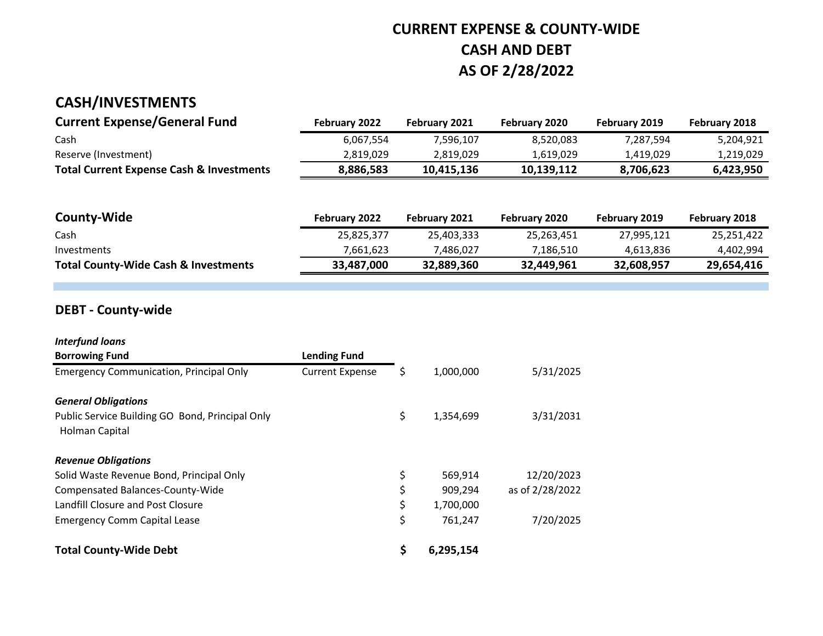## **CURRENT EXPENSE & COUNTY-WIDE CASH AND DEBT AS OF 2/28/2022**

## **CASH/INVESTMENTS**

| <b>Current Expense/General Fund</b>                 | February 2022 | <b>February 2021</b> | <b>February 2020</b> | <b>February 2019</b> | February 2018 |
|-----------------------------------------------------|---------------|----------------------|----------------------|----------------------|---------------|
| Cash                                                | 6.067.554     | 7.596.107            | 8.520.083            | 7.287.594            | 5.204.921     |
| Reserve (Investment)                                | 2.819.029     | 2.819.029            | 1.619.029            | 1.419.029            | 1,219,029     |
| <b>Total Current Expense Cash &amp; Investments</b> | 8,886,583     | 10.415.136           | 10.139.112           | 8.706.623            | 6.423.950     |

| <b>County-Wide</b>                              | <b>February 2022</b> | <b>February 2021</b> | <b>February 2020</b> | February 2019 | <b>February 2018</b> |
|-------------------------------------------------|----------------------|----------------------|----------------------|---------------|----------------------|
| Cash                                            | 25,825,377           | 25,403,333           | 25,263,451           | 27,995,121    | 25,251,422           |
| Investments                                     | 7.661.623            | 7.486.027            | 7.186.510            | 4.613.836     | 4,402,994            |
| <b>Total County-Wide Cash &amp; Investments</b> | 33,487,000           | 32.889.360           | 32,449,961           | 32.608.957    | 29.654.416           |

#### **DEBT - County-wide**

| <b>Interfund loans</b>                                            |                        |                 |                 |
|-------------------------------------------------------------------|------------------------|-----------------|-----------------|
| <b>Borrowing Fund</b>                                             | <b>Lending Fund</b>    |                 |                 |
| <b>Emergency Communication, Principal Only</b>                    | <b>Current Expense</b> | \$<br>1,000,000 | 5/31/2025       |
| <b>General Obligations</b>                                        |                        |                 |                 |
| Public Service Building GO Bond, Principal Only<br>Holman Capital |                        | \$<br>1,354,699 | 3/31/2031       |
| <b>Revenue Obligations</b>                                        |                        |                 |                 |
| Solid Waste Revenue Bond, Principal Only                          |                        | \$<br>569,914   | 12/20/2023      |
| Compensated Balances-County-Wide                                  |                        | \$<br>909,294   | as of 2/28/2022 |
| Landfill Closure and Post Closure                                 |                        | \$<br>1,700,000 |                 |
| <b>Emergency Comm Capital Lease</b>                               |                        | \$<br>761,247   | 7/20/2025       |
| <b>Total County-Wide Debt</b>                                     |                        | \$<br>6,295,154 |                 |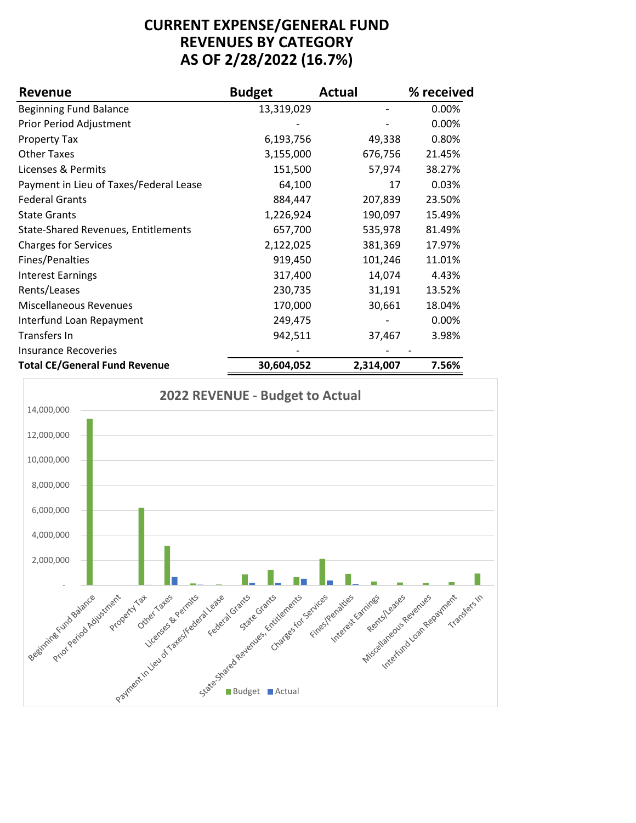#### **CURRENT EXPENSE/GENERAL FUND REVENUES BY CATEGORY AS OF 2/28/2022 (16.7%)**

| <b>Revenue</b>                             | <b>Budget</b> | <b>Actual</b> | % received |
|--------------------------------------------|---------------|---------------|------------|
| <b>Beginning Fund Balance</b>              | 13,319,029    |               | 0.00%      |
| Prior Period Adjustment                    |               |               | 0.00%      |
| <b>Property Tax</b>                        | 6,193,756     | 49,338        | 0.80%      |
| <b>Other Taxes</b>                         | 3,155,000     | 676,756       | 21.45%     |
| Licenses & Permits                         | 151,500       | 57,974        | 38.27%     |
| Payment in Lieu of Taxes/Federal Lease     | 64,100        | 17            | 0.03%      |
| <b>Federal Grants</b>                      | 884,447       | 207,839       | 23.50%     |
| <b>State Grants</b>                        | 1,226,924     | 190,097       | 15.49%     |
| <b>State-Shared Revenues, Entitlements</b> | 657,700       | 535,978       | 81.49%     |
| <b>Charges for Services</b>                | 2,122,025     | 381,369       | 17.97%     |
| Fines/Penalties                            | 919,450       | 101,246       | 11.01%     |
| <b>Interest Earnings</b>                   | 317,400       | 14,074        | 4.43%      |
| Rents/Leases                               | 230,735       | 31,191        | 13.52%     |
| <b>Miscellaneous Revenues</b>              | 170,000       | 30,661        | 18.04%     |
| Interfund Loan Repayment                   | 249,475       |               | 0.00%      |
| Transfers In                               | 942,511       | 37,467        | 3.98%      |
| Insurance Recoveries                       |               |               |            |
| Total CE/Conoral Fund Povonuo              | 20.601.052    | 2211 NOT      | 7E6%       |

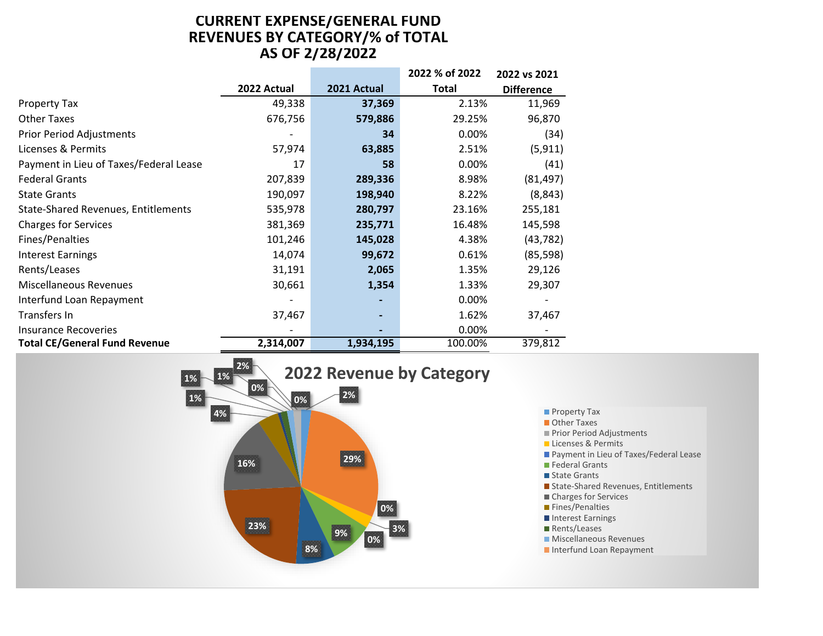#### **CURRENT EXPENSE/GENERAL FUND REVENUES BY CATEGORY/% of TOTAL AS OF 2/28/2022**

|                                            |             |             | 2022 % of 2022 | 2022 vs 2021      |
|--------------------------------------------|-------------|-------------|----------------|-------------------|
|                                            | 2022 Actual | 2021 Actual | Total          | <b>Difference</b> |
| <b>Property Tax</b>                        | 49,338      | 37,369      | 2.13%          | 11,969            |
| <b>Other Taxes</b>                         | 676,756     | 579,886     | 29.25%         | 96,870            |
| <b>Prior Period Adjustments</b>            |             | 34          | 0.00%          | (34)              |
| Licenses & Permits                         | 57,974      | 63,885      | 2.51%          | (5, 911)          |
| Payment in Lieu of Taxes/Federal Lease     | 17          | 58          | 0.00%          | (41)              |
| <b>Federal Grants</b>                      | 207,839     | 289,336     | 8.98%          | (81, 497)         |
| <b>State Grants</b>                        | 190,097     | 198,940     | 8.22%          | (8, 843)          |
| <b>State-Shared Revenues, Entitlements</b> | 535,978     | 280,797     | 23.16%         | 255,181           |
| <b>Charges for Services</b>                | 381,369     | 235,771     | 16.48%         | 145,598           |
| Fines/Penalties                            | 101,246     | 145,028     | 4.38%          | (43, 782)         |
| <b>Interest Earnings</b>                   | 14,074      | 99,672      | 0.61%          | (85, 598)         |
| Rents/Leases                               | 31,191      | 2,065       | 1.35%          | 29,126            |
| Miscellaneous Revenues                     | 30,661      | 1,354       | 1.33%          | 29,307            |
| Interfund Loan Repayment                   |             |             | 0.00%          |                   |
| Transfers In                               | 37,467      |             | 1.62%          | 37,467            |
| Insurance Recoveries                       |             |             | 0.00%          |                   |
| <b>Total CE/General Fund Revenue</b>       | 2,314,007   | 1,934,195   | 100.00%        | 379,812           |



- **Property Tax**
- Other Taxes
- Prior Period Adjustments
- **Licenses & Permits**
- **Payment in Lieu of Taxes/Federal Lease**
- **Federal Grants**
- State Grants
- State-Shared Revenues, Entitlements
- Charges for Services
- **Fines/Penalties**
- Interest Earnings
- Rents/Leases
- **Miscellaneous Revenues**
- Interfund Loan Repayment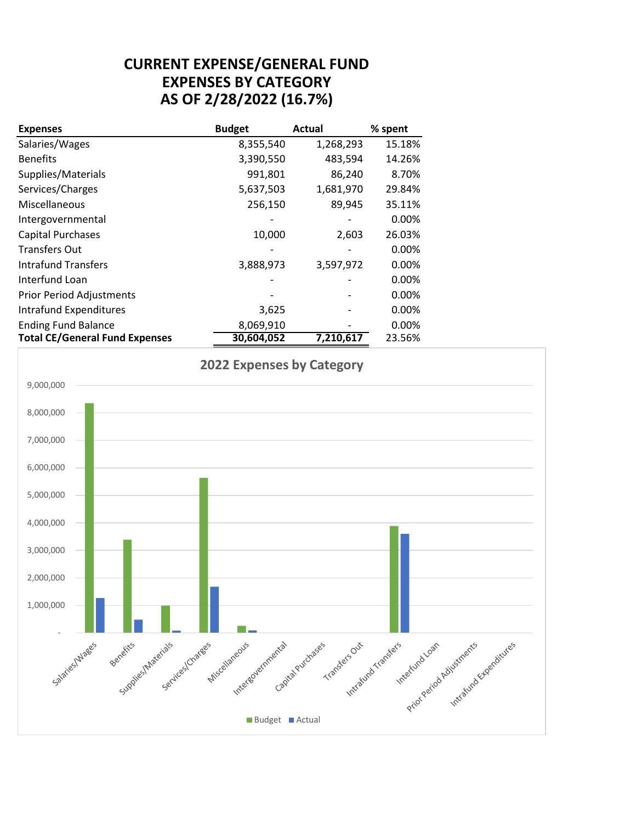#### **CURRENT EXPENSE/GENERAL FUND EXPENSES BY CATEGORY AS OF 2/28/2022 (16.7%)**

| <b>Expenses</b>                       | <b>Budget</b> | <b>Actual</b> | % spent |
|---------------------------------------|---------------|---------------|---------|
| Salaries/Wages                        | 8,355,540     | 1,268,293     | 15.18%  |
| <b>Benefits</b>                       | 3,390,550     | 483,594       | 14.26%  |
| Supplies/Materials                    | 991,801       | 86,240        | 8.70%   |
| Services/Charges                      | 5,637,503     | 1,681,970     | 29.84%  |
| Miscellaneous                         | 256,150       | 89,945        | 35.11%  |
| Intergovernmental                     |               |               | 0.00%   |
| <b>Capital Purchases</b>              | 10,000        | 2,603         | 26.03%  |
| <b>Transfers Out</b>                  |               |               | 0.00%   |
| <b>Intrafund Transfers</b>            | 3,888,973     | 3,597,972     | 0.00%   |
| Interfund Loan                        |               |               | 0.00%   |
| <b>Prior Period Adjustments</b>       |               |               | 0.00%   |
| <b>Intrafund Expenditures</b>         | 3,625         |               | 0.00%   |
| <b>Ending Fund Balance</b>            | 8,069,910     |               | 0.00%   |
| <b>Total CE/General Fund Expenses</b> | 30,604,052    | 7,210,617     | 23.56%  |

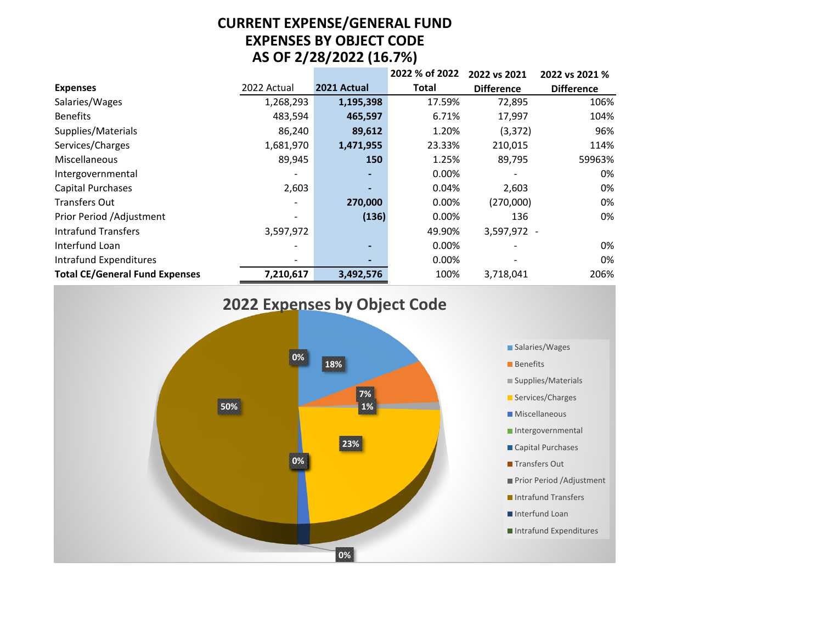#### **CURRENT EXPENSE/GENERAL FUND EXPENSES BY OBJECT CODE AS OF 2/28/2022 (16.7%)**

|                                       |                          |             | 2022 % of 2022 | 2022 vs 2021      | 2022 vs 2021 %    |
|---------------------------------------|--------------------------|-------------|----------------|-------------------|-------------------|
| <b>Expenses</b>                       | 2022 Actual              | 2021 Actual | <b>Total</b>   | <b>Difference</b> | <b>Difference</b> |
| Salaries/Wages                        | 1,268,293                | 1,195,398   | 17.59%         | 72,895            | 106%              |
| <b>Benefits</b>                       | 483,594                  | 465,597     | 6.71%          | 17,997            | 104%              |
| Supplies/Materials                    | 86,240                   | 89,612      | 1.20%          | (3, 372)          | 96%               |
| Services/Charges                      | 1,681,970                | 1,471,955   | 23.33%         | 210,015           | 114%              |
| Miscellaneous                         | 89,945                   | 150         | 1.25%          | 89,795            | 59963%            |
| Intergovernmental                     | ٠                        | ۰           | 0.00%          |                   | 0%                |
| <b>Capital Purchases</b>              | 2,603                    | -           | 0.04%          | 2,603             | 0%                |
| <b>Transfers Out</b>                  | $\overline{\phantom{0}}$ | 270,000     | 0.00%          | (270,000)         | 0%                |
| Prior Period /Adjustment              | $\overline{\phantom{a}}$ | (136)       | 0.00%          | 136               | 0%                |
| <b>Intrafund Transfers</b>            | 3,597,972                |             | 49.90%         | 3,597,972 -       |                   |
| Interfund Loan                        | $\overline{\phantom{0}}$ | ٠           | 0.00%          |                   | 0%                |
| Intrafund Expenditures                | ٠                        | -           | 0.00%          |                   | 0%                |
| <b>Total CE/General Fund Expenses</b> | 7,210,617                | 3,492,576   | 100%           | 3,718,041         | 206%              |

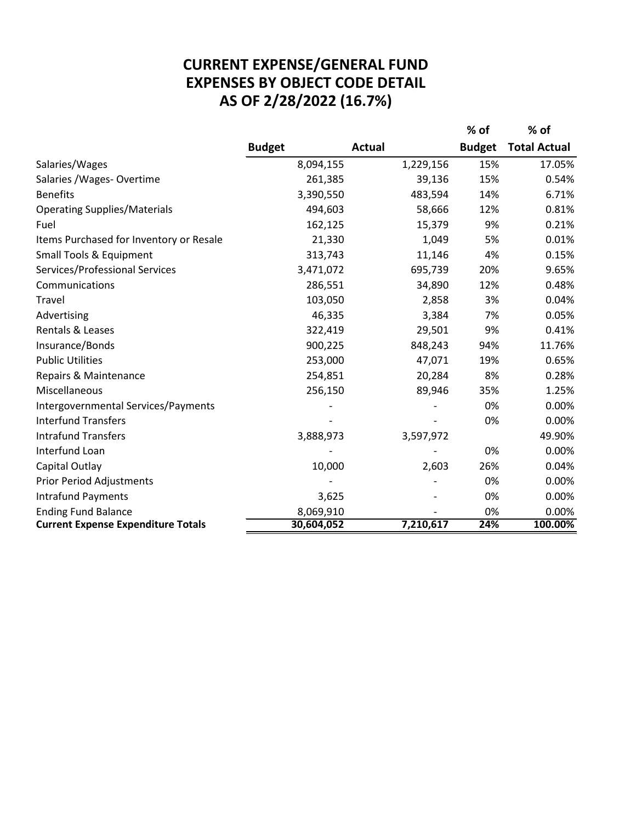### **AS OF 2/28/2022 (16.7%) CURRENT EXPENSE/GENERAL FUND EXPENSES BY OBJECT CODE DETAIL**

|                                           |               |               | % of          | % of                |
|-------------------------------------------|---------------|---------------|---------------|---------------------|
|                                           | <b>Budget</b> | <b>Actual</b> | <b>Budget</b> | <b>Total Actual</b> |
| Salaries/Wages                            | 8,094,155     | 1,229,156     | 15%           | 17.05%              |
| Salaries / Wages - Overtime               | 261,385       | 39,136        | 15%           | 0.54%               |
| <b>Benefits</b>                           | 3,390,550     | 483,594       | 14%           | 6.71%               |
| <b>Operating Supplies/Materials</b>       | 494,603       | 58,666        | 12%           | 0.81%               |
| Fuel                                      | 162,125       | 15,379        | 9%            | 0.21%               |
| Items Purchased for Inventory or Resale   | 21,330        | 1,049         | 5%            | 0.01%               |
| <b>Small Tools &amp; Equipment</b>        | 313,743       | 11,146        | 4%            | 0.15%               |
| Services/Professional Services            | 3,471,072     | 695,739       | 20%           | 9.65%               |
| Communications                            | 286,551       | 34,890        | 12%           | 0.48%               |
| Travel                                    | 103,050       | 2,858         | 3%            | 0.04%               |
| Advertising                               | 46,335        | 3,384         | 7%            | 0.05%               |
| Rentals & Leases                          | 322,419       | 29,501        | 9%            | 0.41%               |
| Insurance/Bonds                           | 900,225       | 848,243       | 94%           | 11.76%              |
| <b>Public Utilities</b>                   | 253,000       | 47,071        | 19%           | 0.65%               |
| Repairs & Maintenance                     | 254,851       | 20,284        | 8%            | 0.28%               |
| Miscellaneous                             | 256,150       | 89,946        | 35%           | 1.25%               |
| Intergovernmental Services/Payments       |               |               | 0%            | 0.00%               |
| <b>Interfund Transfers</b>                |               |               | 0%            | 0.00%               |
| <b>Intrafund Transfers</b>                | 3,888,973     | 3,597,972     |               | 49.90%              |
| Interfund Loan                            |               |               | 0%            | 0.00%               |
| Capital Outlay                            | 10,000        | 2,603         | 26%           | 0.04%               |
| <b>Prior Period Adjustments</b>           |               |               | 0%            | 0.00%               |
| <b>Intrafund Payments</b>                 | 3,625         |               | 0%            | 0.00%               |
| <b>Ending Fund Balance</b>                | 8,069,910     |               | 0%            | 0.00%               |
| <b>Current Expense Expenditure Totals</b> | 30,604,052    | 7,210,617     | 24%           | 100.00%             |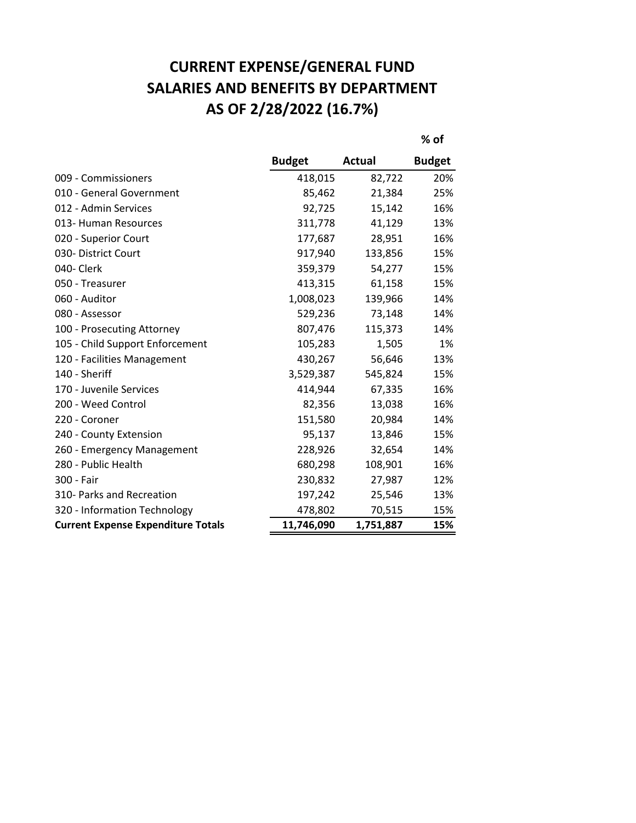# **CURRENT EXPENSE/GENERAL FUND SALARIES AND BENEFITS BY DEPARTMENT AS OF 2/28/2022 (16.7%)**

**% of**

|                                           | <b>Budget</b> | <b>Actual</b> | <b>Budget</b> |
|-------------------------------------------|---------------|---------------|---------------|
| 009 - Commissioners                       | 418,015       | 82,722        | 20%           |
| 010 - General Government                  | 85,462        | 21,384        | 25%           |
| 012 - Admin Services                      | 92,725        | 15,142        | 16%           |
| 013- Human Resources                      | 311,778       | 41,129        | 13%           |
| 020 - Superior Court                      | 177,687       | 28,951        | 16%           |
| 030- District Court                       | 917,940       | 133,856       | 15%           |
| 040- Clerk                                | 359,379       | 54,277        | 15%           |
| 050 - Treasurer                           | 413,315       | 61,158        | 15%           |
| 060 - Auditor                             | 1,008,023     | 139,966       | 14%           |
| 080 - Assessor                            | 529,236       | 73,148        | 14%           |
| 100 - Prosecuting Attorney                | 807,476       | 115,373       | 14%           |
| 105 - Child Support Enforcement           | 105,283       | 1,505         | 1%            |
| 120 - Facilities Management               | 430,267       | 56,646        | 13%           |
| 140 - Sheriff                             | 3,529,387     | 545,824       | 15%           |
| 170 - Juvenile Services                   | 414,944       | 67,335        | 16%           |
| 200 - Weed Control                        | 82,356        | 13,038        | 16%           |
| 220 - Coroner                             | 151,580       | 20,984        | 14%           |
| 240 - County Extension                    | 95,137        | 13,846        | 15%           |
| 260 - Emergency Management                | 228,926       | 32,654        | 14%           |
| 280 - Public Health                       | 680,298       | 108,901       | 16%           |
| 300 - Fair                                | 230,832       | 27,987        | 12%           |
| 310- Parks and Recreation                 | 197,242       | 25,546        | 13%           |
| 320 - Information Technology              | 478,802       | 70,515        | 15%           |
| <b>Current Expense Expenditure Totals</b> | 11,746,090    | 1,751,887     | 15%           |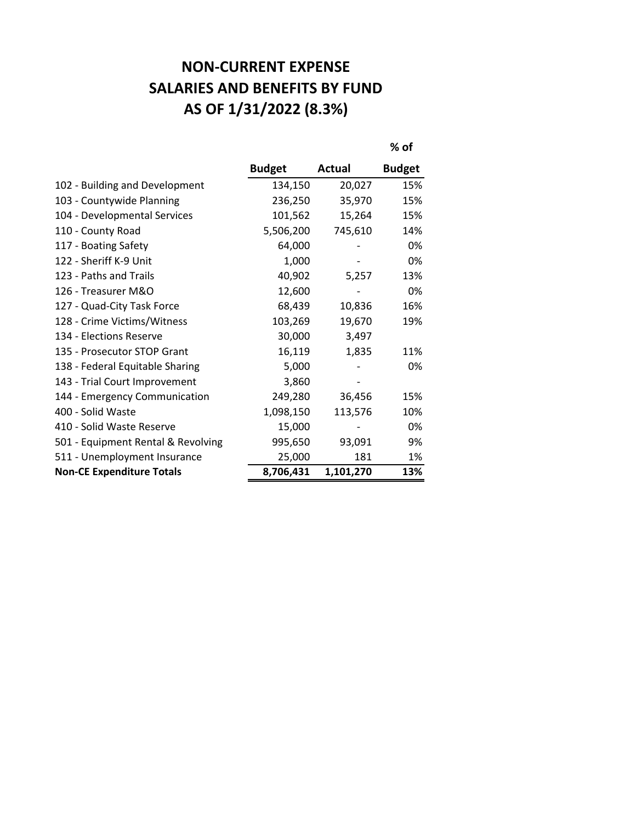## **NON-CURRENT EXPENSE SALARIES AND BENEFITS BY FUND AS OF 1/31/2022 (8.3%)**

|                                    |               |               | % of          |
|------------------------------------|---------------|---------------|---------------|
|                                    | <b>Budget</b> | <b>Actual</b> | <b>Budget</b> |
| 102 - Building and Development     | 134,150       | 20,027        | 15%           |
| 103 - Countywide Planning          | 236,250       | 35,970        | 15%           |
| 104 - Developmental Services       | 101,562       | 15,264        | 15%           |
| 110 - County Road                  | 5,506,200     | 745,610       | 14%           |
| 117 - Boating Safety               | 64,000        |               | 0%            |
| 122 - Sheriff K-9 Unit             | 1,000         |               | 0%            |
| 123 - Paths and Trails             | 40,902        | 5,257         | 13%           |
| 126 - Treasurer M&O                | 12,600        |               | 0%            |
| 127 - Quad-City Task Force         | 68,439        | 10,836        | 16%           |
| 128 - Crime Victims/Witness        | 103,269       | 19,670        | 19%           |
| 134 - Elections Reserve            | 30,000        | 3,497         |               |
| 135 - Prosecutor STOP Grant        | 16,119        | 1,835         | 11%           |
| 138 - Federal Equitable Sharing    | 5,000         |               | 0%            |
| 143 - Trial Court Improvement      | 3,860         |               |               |
| 144 - Emergency Communication      | 249,280       | 36,456        | 15%           |
| 400 - Solid Waste                  | 1,098,150     | 113,576       | 10%           |
| 410 - Solid Waste Reserve          | 15,000        |               | 0%            |
| 501 - Equipment Rental & Revolving | 995,650       | 93,091        | 9%            |
| 511 - Unemployment Insurance       | 25,000        | 181           | 1%            |
| <b>Non-CE Expenditure Totals</b>   | 8,706,431     | 1,101,270     | 13%           |